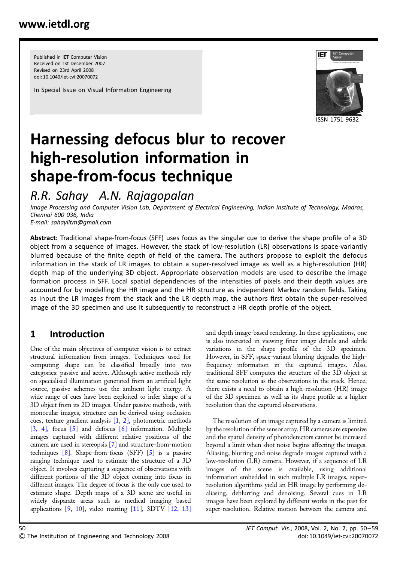Published in IET Computer Vision Received on 1st December 2007 Revised on 23rd April 2008 doi: 10.1049/iet-cvi:20070072

In Special Issue on Visual Information Engineering



# Harnessing defocus blur to recover high-resolution information in shape-from-focus technique

## R.R. Sahay A.N. Rajagopalan

Image Processing and Computer Vision Lab, Department of Electrical Engineering, Indian Institute of Technology, Madras, Chennai 600 036, India E-mail: sahayiitm@gmail.com

Abstract: Traditional shape-from-focus (SFF) uses focus as the singular cue to derive the shape profile of a 3D object from a sequence of images. However, the stack of low-resolution (LR) observations is space-variantly blurred because of the finite depth of field of the camera. The authors propose to exploit the defocus information in the stack of LR images to obtain a super-resolved image as well as a high-resolution (HR) depth map of the underlying 3D object. Appropriate observation models are used to describe the image formation process in SFF. Local spatial dependencies of the intensities of pixels and their depth values are accounted for by modelling the HR image and the HR structure as independent Markov random fields. Taking as input the LR images from the stack and the LR depth map, the authors first obtain the super-resolved image of the 3D specimen and use it subsequently to reconstruct a HR depth profile of the object.

### 1 Introduction

One of the main objectives of computer vision is to extract structural information from images. Techniques used for computing shape can be classified broadly into two categories: passive and active. Although active methods rely on specialised illumination generated from an artificial light source, passive schemes use the ambient light energy. A wide range of cues have been exploited to infer shape of a 3D object from its 2D images. Under passive methods, with monocular images, structure can be derived using occlusion cues, texture gradient analysis [1, 2], photometric methods [3, 4], focus [5] and defocus [6] information. Multiple images captured with different relative positions of the camera are used in stereopsis [7] and structure-from-motion techniques [8]. Shape-from-focus (SFF) [5] is a passive ranging technique used to estimate the structure of a 3D object. It involves capturing a sequence of observations with different portions of the 3D object coming into focus in different images. The degree of focus is the only cue used to estimate shape. Depth maps of a 3D scene are useful in widely disparate areas such as medical imaging based applications  $[9, 10]$ , video matting  $[11]$ , 3DTV  $[12, 13]$ 

and depth image-based rendering. In these applications, one is also interested in viewing finer image details and subtle variations in the shape profile of the 3D specimen. However, in SFF, space-variant blurring degrades the highfrequency information in the captured images. Also, traditional SFF computes the structure of the 3D object at the same resolution as the observations in the stack. Hence, there exists a need to obtain a high-resolution (HR) image of the 3D specimen as well as its shape profile at a higher resolution than the captured observations.

The resolution of an image captured by a camera is limited by the resolution of the sensor array. HR cameras are expensive and the spatial density of photodetectors cannot be increased beyond a limit when shot noise begins affecting the images. Aliasing, blurring and noise degrade images captured with a low-resolution (LR) camera. However, if a sequence of LR images of the scene is available, using additional information embedded in such multiple LR images, superresolution algorithms yield an HR image by performing dealiasing, deblurring and denoising. Several cues in LR images have been explored by different works in the past for super-resolution. Relative motion between the camera and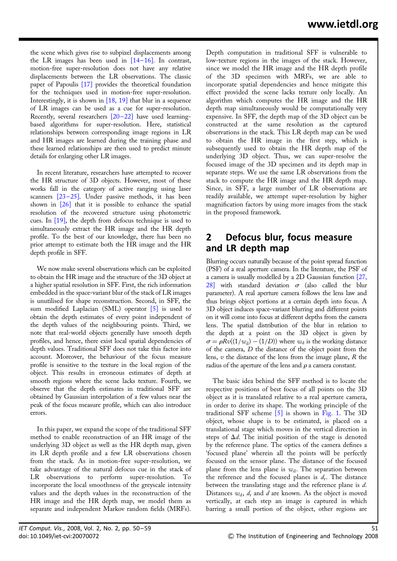the scene which gives rise to subpixel displacements among the LR images has been used in  $[14-16]$ . In contrast, motion-free super-resolution does not have any relative displacements between the LR observations. The classic paper of Papoulis [17] provides the theoretical foundation for the techniques used in motion-free super-resolution. Interestingly, it is shown in  $[18, 19]$  that blur in a sequence of LR images can be used as a cue for super-resolution. Recently, several researchers  $\lceil 20 - 22 \rceil$  have used learningbased algorithms for super-resolution. Here, statistical relationships between corresponding image regions in LR and HR images are learned during the training phase and these learned relationships are then used to predict minute details for enlarging other LR images.

In recent literature, researchers have attempted to recover the HR structure of 3D objects. However, most of these works fall in the category of active ranging using laser scanners [23-25]. Under passive methods, it has been shown in [26] that it is possible to enhance the spatial resolution of the recovered structure using photometric cues. In [19], the depth from defocus technique is used to simultaneously extract the HR image and the HR depth profile. To the best of our knowledge, there has been no prior attempt to estimate both the HR image and the HR depth profile in SFF.

We now make several observations which can be exploited to obtain the HR image and the structure of the 3D object at a higher spatial resolution in SFF. First, the rich information embedded in the space-variant blur of the stack of LR images is unutilised for shape reconstruction. Second, in SFF, the sum modified Laplacian (SML) operator [5] is used to obtain the depth estimates of every point independent of the depth values of the neighbouring points. Third, we note that real-world objects generally have smooth depth profiles, and hence, there exist local spatial dependencies of depth values. Traditional SFF does not take this factor into account. Moreover, the behaviour of the focus measure profile is sensitive to the texture in the local region of the object. This results in erroneous estimates of depth at smooth regions where the scene lacks texture. Fourth, we observe that the depth estimates in traditional SFF are obtained by Gaussian interpolation of a few values near the peak of the focus measure profile, which can also introduce errors.

In this paper, we expand the scope of the traditional SFF method to enable reconstruction of an HR image of the underlying 3D object as well as the HR depth map, given its LR depth profile and a few LR observations chosen from the stack. As in motion-free super-resolution, we take advantage of the natural defocus cue in the stack of LR observations to perform super-resolution. To incorporate the local smoothness of the greyscale intensity values and the depth values in the reconstruction of the HR image and the HR depth map, we model them as separate and independent Markov random fields (MRFs). Depth computation in traditional SFF is vulnerable to low-texture regions in the images of the stack. However, since we model the HR image and the HR depth profile of the 3D specimen with MRFs, we are able to incorporate spatial dependencies and hence mitigate this effect provided the scene lacks texture only locally. An algorithm which computes the HR image and the HR depth map simultaneously would be computationally very expensive. In SFF, the depth map of the 3D object can be constructed at the same resolution as the captured observations in the stack. This LR depth map can be used to obtain the HR image in the first step, which is subsequently used to obtain the HR depth map of the underlying 3D object. Thus, we can super-resolve the focused image of the 3D specimen and its depth map in separate steps. We use the same LR observations from the stack to compute the HR image and the HR depth map. Since, in SFF, a large number of LR observations are readily available, we attempt super-resolution by higher magnification factors by using more images from the stack in the proposed framework.

### 2 Defocus blur, focus measure and LR depth map

Blurring occurs naturally because of the point spread function (PSF) of a real aperture camera. In the literature, the PSF of a camera is usually modelled by a 2D Gaussian function [27, 28] with standard deviation  $\sigma$  (also called the blur parameter). A real aperture camera follows the lens law and thus brings object portions at a certain depth into focus. A 3D object induces space-variant blurring and different points on it will come into focus at different depths from the camera lens. The spatial distribution of the blur in relation to the depth at a point on the 3D object is given by  $\sigma = \rho R v((1/w_d) - (1/D))$  where  $w_d$  is the working distance of the camera, D the distance of the object point from the lens,  $v$  the distance of the lens from the image plane,  $R$  the radius of the aperture of the lens and  $\rho$  a camera constant.

The basic idea behind the SFF method is to locate the respective positions of best focus of all points on the 3D object as it is translated relative to a real aperture camera, in order to derive its shape. The working principle of the traditional SFF scheme  $\lceil 5 \rceil$  is shown in Fig. 1. The 3D object, whose shape is to be estimated, is placed on a translational stage which moves in the vertical direction in steps of  $\Delta d$ . The initial position of the stage is denoted by the reference plane. The optics of the camera defines a 'focused plane' wherein all the points will be perfectly focused on the sensor plane. The distance of the focused plane from the lens plane is  $w_d$ . The separation between the reference and the focused planes is  $d_r$ . The distance between the translating stage and the reference plane is d. Distances  $w_d$ ,  $d_r$  and  $\bar{d}$  are known. As the object is moved vertically, at each step an image is captured in which barring a small portion of the object, other regions are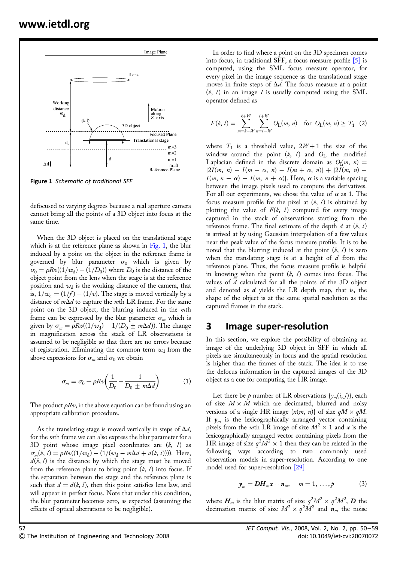### www.ietdl.org



Figure 1 Schematic of traditional SFF

defocused to varying degrees because a real aperture camera cannot bring all the points of a 3D object into focus at the same time.

When the 3D object is placed on the translational stage which is at the reference plane as shown in Fig. 1, the blur induced by a point on the object in the reference frame is governed by blur parameter  $\sigma_0$  which is given by  $\sigma_0 = \rho R v((1/w_d) - (1/D_0))$  where  $D_0$  is the distance of the object point from the lens when the stage is at the reference position and  $w_d$  is the working distance of the camera, that is,  $1/w_d = (1/f) - (1/v)$ . The stage is moved vertically by a distance of  $m\Delta d$  to capture the mth LR frame. For the same point on the 3D object, the blurring induced in the mth frame can be expressed by the blur parameter  $\sigma_m$  which is given by  $\sigma_m = \rho R v((1/w_d) - 1/(D_0 \pm m\Delta d))$ . The change in magnification across the stack of LR observations is assumed to be negligible so that there are no errors because of registration. Eliminating the common term  $w_d$  from the above expressions for  $\sigma_m$  and  $\sigma_0$  we obtain

$$
\sigma_m = \sigma_0 + \rho R v \left( \frac{1}{D_0} - \frac{1}{D_0 \pm m \Delta d} \right) \tag{1}
$$

The product  $\rho Rv$ , in the above equation can be found using an appropriate calibration procedure.

As the translating stage is moved vertically in steps of  $\Delta d$ , for the mth frame we can also express the blur parameter for a 3D point whose image pixel coordinates are  $(k, l)$  as  $\sigma_m(k, l) = \rho R \nu((1/w_d) - (1/(w_d - m\Delta d + \overline{d}(k, l))))$ . Here,  $\overline{d}(k, l)$  is the distance by which the stage must be moved from the reference plane to bring point  $(k, l)$  into focus. If the separation between the stage and the reference plane is such that  $d = \overline{d}(k, l)$ , then this point satisfies lens law, and will appear in perfect focus. Note that under this condition, the blur parameter becomes zero, as expected (assuming the effects of optical aberrations to be negligible).

In order to find where a point on the 3D specimen comes into focus, in traditional SFF, a focus measure profile [5] is computed, using the SML focus measure operator, for every pixel in the image sequence as the translational stage moves in finite steps of  $\Delta d$ . The focus measure at a point  $(k, l)$  in an image I is usually computed using the SML operator defined as

$$
F(k, l) = \sum_{m=k-W}^{k+W} \sum_{n=l-W}^{l+W} O_{\mathcal{L}}(m, n) \text{ for } O_{\mathcal{L}}(m, n) \ge T_1 \tag{2}
$$

where  $T_1$  is a threshold value,  $2W+1$  the size of the window around the point  $(k, l)$  and  $O<sub>L</sub>$  the modified Laplacian defined in the discrete domain as  $O_{\rm l}(m, n)$  =  $|2I(m, n) - I(m - \alpha, n) - I(m + \alpha, n)| + |2I(m, n) I(m, n - \alpha) - I(m, n + \alpha)$ . Here,  $\alpha$  is a variable spacing between the image pixels used to compute the derivatives. For all our experiments, we chose the value of  $\alpha$  as 1. The focus measure profile for the pixel at  $(k, l)$  is obtained by plotting the value of  $F(k, l)$  computed for every image captured in the stack of observations starting from the reference frame. The final estimate of the depth  $\overline{d}$  at  $(k, l)$ is arrived at by using Gaussian interpolation of a few values near the peak value of the focus measure profile. It is to be noted that the blurring induced at the point  $(k, l)$  is zero when the translating stage is at a height of  $\overline{d}$  from the reference plane. Thus, the focus measure profile is helpful in knowing when the point  $(k, l)$  comes into focus. The values of  $\overline{d}$  calculated for all the points of the 3D object and denoted as  $\overline{d}$  yields the LR depth map, that is, the shape of the object is at the same spatial resolution as the captured frames in the stack.

### 3 Image super-resolution

In this section, we explore the possibility of obtaining an image of the underlying 3D object in SFF in which all pixels are simultaneously in focus and the spatial resolution is higher than the frames of the stack. The idea is to use the defocus information in the captured images of the 3D object as a cue for computing the HR image.

Let there be  $p$  number of LR observations  $\{y_m(i, j)\}\)$ , each of size  $M \times M$  which are decimated, blurred and noisy versions of a single HR image  $\{x(m, n)\}\$  of size  $qM \times qM$ . If  $y_m$  is the lexicographically arranged vector containing pixels from the *m*th LR image of size  $M^2 \times 1$  and x is the lexicographically arranged vector containing pixels from the HR image of size  $q^2M^2 \times 1$  then they can be related in the following ways according to two commonly used observation models in super-resolution. According to one model used for super-resolution [29]

$$
y_m = DH_m x + n_m, \quad m = 1, \ldots, p \tag{3}
$$

where  $H_m$  is the blur matrix of size  $q^2M^2\times q^2M^2$ ,  $\bm{D}$  the decimation matrix of size  $M^2 \times q^2 \dot M^2$  and  $n_m$  the noise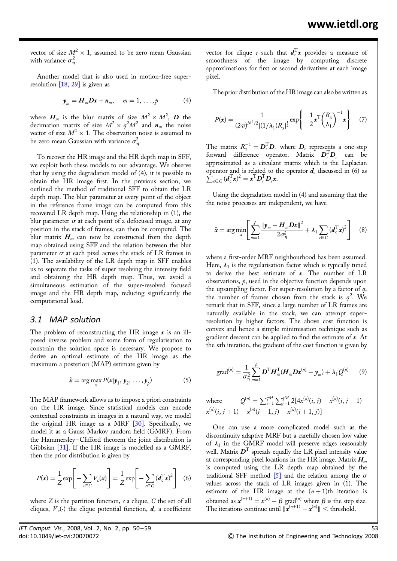vector of size  $M^2 \times 1$ , assumed to be zero mean Gaussian with variance  $\sigma_{\eta}^2$ .

Another model that is also used in motion-free superresolution  $[18, 29]$  is given as

$$
y_m = H_m Dx + n_m, \quad m = 1, \ldots, p \tag{4}
$$

where  $H_m$  is the blur matrix of size  $M^2 \times M^2$ , **D** the decimation matrix of size  $M^2 \times q^2 M^2$  and  $n_m$  the noise vector of size  $M^2 \times 1$ . The observation noise is assumed to be zero mean Gaussian with variance  $\sigma_{\eta}^2.$ 

To recover the HR image and the HR depth map in SFF, we exploit both these models to our advantage. We observe that by using the degradation model of (4), it is possible to obtain the HR image first. In the previous section, we outlined the method of traditional SFF to obtain the LR depth map. The blur parameter at every point of the object in the reference frame image can be computed from this recovered LR depth map. Using the relationship in (1), the blur parameter  $\sigma$  at each point of a defocused image, at any position in the stack of frames, can then be computed. The blur matrix  $H_m$  can now be constructed from the depth map obtained using SFF and the relation between the blur parameter  $\sigma$  at each pixel across the stack of LR frames in (1). The availability of the LR depth map in SFF enables us to separate the tasks of super resolving the intensity field and obtaining the HR depth map. Thus, we avoid a simultaneous estimation of the super-resolved focused image and the HR depth map, reducing significantly the computational load.

#### 3.1 MAP solution

The problem of reconstructing the HR image  $x$  is an illposed inverse problem and some form of regularisation to constrain the solution space is necessary. We propose to derive an optimal estimate of the HR image as the maximum a posteriori (MAP) estimate given by

$$
\hat{\mathbf{x}} = \arg \max_{\mathbf{x}} P(\mathbf{x} | \mathbf{y}_1, \mathbf{y}_2, \dots, \mathbf{y}_p) \tag{5}
$$

The MAP framework allows us to impose a priori constraints on the HR image. Since statistical models can encode contextual constraints in images in a natural way, we model the original HR image as a MRF  $[30]$ . Specifically, we model it as a Gauss Markov random field (GMRF). From the Hammersley–Clifford theorem the joint distribution is Gibbsian [31]. If the HR image is modelled as a GMRF, then the prior distribution is given by

$$
P(\mathbf{x}) = \frac{1}{Z} \exp\left[-\sum_{c \in C} V_c(\mathbf{x})\right] = \frac{1}{Z} \exp\left[-\sum_{c \in C} (d_c^{\mathrm{T}} \mathbf{x})^2\right] \tag{6}
$$

where  $Z$  is the partition function,  $c$  a clique,  $C$  the set of all cliques,  $V_c(\cdot)$  the clique potential function,  $d_c$  a coefficient

vector for clique c such that  $d_c^{\mathrm{T}} x$  provides a measure of smoothness of the image by computing discrete approximations for first or second derivatives at each image pixel.

The prior distribution of the HR image can also be written as

$$
P(x) = \frac{1}{(2\pi)^{N^2/2} |(1/\lambda_1)R_x|^{\frac{1}{2}}} \exp\left\{-\frac{1}{2}x^{\text{T}} \left(\frac{R_x}{\lambda_1}\right)^{-1} x\right\} \tag{7}
$$

The matrix  $R_{x}^{-1} = \boldsymbol{D}_{r}^{\mathrm{T}} \boldsymbol{D}_{r}$  where  $\boldsymbol{D}_{r}$  represents a one-step forward difference operator. Matrix  $\boldsymbol{D}_r^{\mathrm{T}} \boldsymbol{D}_r$  can be approximated as a circulant matrix which is the Laplacian operator and is related to the operator  $d_c$  discussed in (6) as  $\sum_{c \in C} (d_c^T x)^2 = x^T D_r^T D_r x.$ 

Using the degradation model in (4) and assuming that the the noise processes are independent, we have

$$
\hat{\boldsymbol{x}} = \arg\min_{\mathbf{x}} \left[ \sum_{m=1}^{p} \frac{\|\boldsymbol{y}_{m} - \boldsymbol{H}_{m}\boldsymbol{D}\boldsymbol{x}\|^{2}}{2\sigma_{\eta}^{2}} + \lambda_{1} \sum_{c \in C} (\boldsymbol{d}_{c}^{T}\boldsymbol{x})^{2} \right]
$$
(8)

where a first-order MRF neighbourhood has been assumed. Here,  $\lambda_1$  is the regularisation factor which is typically tuned to derive the best estimate of  $x$ . The number of  $LR$ observations, p, used in the objective function depends upon the upsampling factor. For super-resolution by a factor of  $q$ , the number of frames chosen from the stack is  $q^2$ . We remark that in SFF, since a large number of LR frames are naturally available in the stack, we can attempt superresolution by higher factors. The above cost function is convex and hence a simple minimisation technique such as gradient descent can be applied to find the estimate of  $x$ . At the nth iteration, the gradient of the cost function is given by

grad<sup>(n)</sup> = 
$$
\frac{1}{\sigma_{\eta}^2} \sum_{m=1}^{p} \boldsymbol{D}^{\mathrm{T}} \boldsymbol{H}_{m}^{\mathrm{T}} (\boldsymbol{H}_{m} \boldsymbol{D} \boldsymbol{x}^{(n)} - \boldsymbol{y}_{m}) + \lambda_{1} Q^{(n)}
$$
 (9)

where  $Q^{(n)} = \sum_{i=1}^{qM}$  $\sum_{j=1}^{qM} 2[4x^{(n)}(i,j) - x^{(n)}(i,j-1)$  $x^{(n)}(i,j+1) - x^{(n)}(i-1,j) - x^{(n)}(i+1,j)]$ 

One can use a more complicated model such as the discontinuity adaptive MRF but a carefully chosen low value of  $\lambda_1$  in the GMRF model will preserve edges reasonably well. Matrix  $\boldsymbol{D}^T$  spreads equally the LR pixel intensity value at corresponding pixel locations in the HR image. Matrix  $H_m$ is computed using the LR depth map obtained by the traditional SFF method  $[5]$  and the relation among the  $\sigma$ values across the stack of LR images given in (1). The estimate of the HR image at the  $(n+1)$ th iteration is obtained as  $x^{(n+1)} = x^{(n)} - \beta$  grad<sup>(n)</sup> where  $\beta$  is the step size. The iterations continue until  $\|\boldsymbol{x}^{(n+1)} - \boldsymbol{x}^{(n)}\| <$  threshold.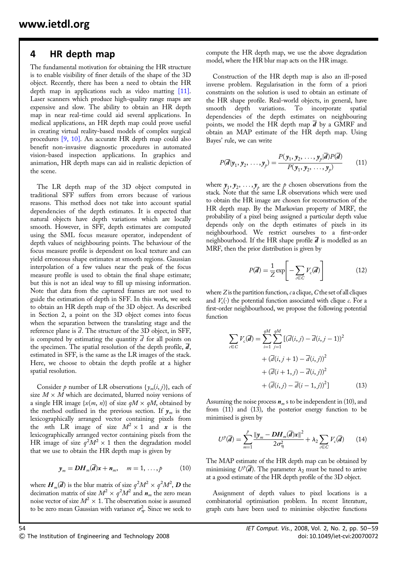### 4 HR depth map

The fundamental motivation for obtaining the HR structure is to enable visibility of finer details of the shape of the 3D object. Recently, there has been a need to obtain the HR depth map in applications such as video matting [11]. Laser scanners which produce high-quality range maps are expensive and slow. The ability to obtain an HR depth map in near real-time could aid several applications. In medical applications, an HR depth map could prove useful in creating virtual reality-based models of complex surgical procedures [9, 10]. An accurate HR depth map could also benefit non-invasive diagnostic procedures in automated vision-based inspection applications. In graphics and animation, HR depth maps can aid in realistic depiction of the scene.

The LR depth map of the 3D object computed in traditional SFF suffers from errors because of various reasons. This method does not take into account spatial dependencies of the depth estimates. It is expected that natural objects have depth variations which are locally smooth. However, in SFF, depth estimates are computed using the SML focus measure operator, independent of depth values of neighbouring points. The behaviour of the focus measure profile is dependent on local texture and can yield erroneous shape estimates at smooth regions. Gaussian interpolation of a few values near the peak of the focus measure profile is used to obtain the final shape estimate; but this is not an ideal way to fill up missing information. Note that data from the captured frames are not used to guide the estimation of depth in SFF. In this work, we seek to obtain an HR depth map of the 3D object. As described in Section 2, a point on the 3D object comes into focus when the separation between the translating stage and the reference plane is  $\overline{d}$ . The structure of the 3D object, in SFF, is computed by estimating the quantity  $\overline{d}$  for all points on the specimen. The spatial resolution of the depth profile,  $\overline{d}$ , estimated in SFF, is the same as the LR images of the stack. Here, we choose to obtain the depth profile at a higher spatial resolution.

Consider  $p$  number of LR observations  $\{y_m(i, j)\}\)$ , each of size  $M \times M$  which are decimated, blurred noisy versions of a single HR image  $\{x(m, n)\}\$  of size  $qM \times qM$ , obtained by the method outlined in the previous section. If  $y_m$  is the lexicographically arranged vector containing pixels from the mth LR image of size  $M^2 \times 1$  and x is the lexicographically arranged vector containing pixels from the HR image of size  $q^2 M^2 \times 1$  then the degradation model that we use to obtain the HR depth map is given by

$$
\mathbf{y}_m = \boldsymbol{D}\boldsymbol{H}_m(\boldsymbol{\overline{d}})\mathbf{x} + \boldsymbol{n}_m, \quad m = 1, \ldots, p \tag{10}
$$

where  $H_m(\overline{d})$  is the blur matrix of size  $q^2M^2 \times q^2M^2$ ,  $D$  the decimation matrix of size  $M^2 \times q^2 M^2$  and  $n_m$  the zero mean noise vector of size  $M^2 \times 1$ . The observation noise is assumed to be zero mean Gaussian with variance  $\sigma_{\eta}^2.$  Since we seek to

compute the HR depth map, we use the above degradation model, where the HR blur map acts on the HR image.

Construction of the HR depth map is also an ill-posed inverse problem. Regularisation in the form of a priori constraints on the solution is used to obtain an estimate of the HR shape profile. Real-world objects, in general, have smooth depth variations. To incorporate spatial dependencies of the depth estimates on neighbouring points, we model the HR depth map  $\overline{d}$  by a GMRF and obtain an MAP estimate of the HR depth map. Using Bayes' rule, we can write

$$
P(\overline{\mathbf{d}}|y_1, y_2, \dots, y_p) = \frac{P(y_1, y_2, \dots, y_p | \overline{\mathbf{d}}) P(\overline{\mathbf{d}})}{P(y_1, y_2, \dots, y_p)} \tag{11}
$$

where  $y_1, y_2, \ldots, y_p$  are the p chosen observations from the stack. Note that the same LR observations which were used to obtain the HR image are chosen for reconstruction of the HR depth map. By the Markovian property of MRF, the probability of a pixel being assigned a particular depth value depends only on the depth estimates of pixels in its neighbourhood. We restrict ourselves to a first-order neighbourhood. If the HR shape profile  $\overline{d}$  is modelled as an MRF, then the prior distribution is given by

$$
P(\overline{\boldsymbol{d}}) = \frac{1}{Z} \exp\left[-\sum_{c \in C} V_c(\overline{\boldsymbol{d}})\right]
$$
 (12)

where  $Z$  is the partition function,  $c$  a clique,  $C$  the set of all cliques and  $V_c(\cdot)$  the potential function associated with clique c. For a first-order neighbourhood, we propose the following potential function

$$
\sum_{c \in C} V_c(\overline{d}) = \sum_{i=1}^{qM} \sum_{j=1}^{qM} [(\overline{d}(i,j) - \overline{d}(i,j-1))^2
$$
  
+  $(\overline{d}(i,j+1) - \overline{d}(i,j))^2$   
+  $(\overline{d}(i+1,j) - \overline{d}(i,j))^2$   
+  $(\overline{d}(i,j) - \overline{d}(i-1,j))^2$  (13)

Assuming the noise process  $n_m$  s to be independent in (10), and from (11) and (13), the posterior energy function to be minimised is given by

$$
U^{p}(\overline{d}) = \sum_{m=1}^{p} \frac{\|y_m - DH_m(\overline{d})x\|^2}{2\sigma_{\eta}^2} + \lambda_2 \sum_{c \in C} V_c(\overline{d}) \qquad (14)
$$

The MAP estimate of the HR depth map can be obtained by minimising  $U^{\rho}(\overline{d})$ . The parameter  $\lambda_2$  must be tuned to arrive at a good estimate of the HR depth profile of the 3D object.

Assignment of depth values to pixel locations is a combinatorial optimisation problem. In recent literature, graph cuts have been used to minimise objective functions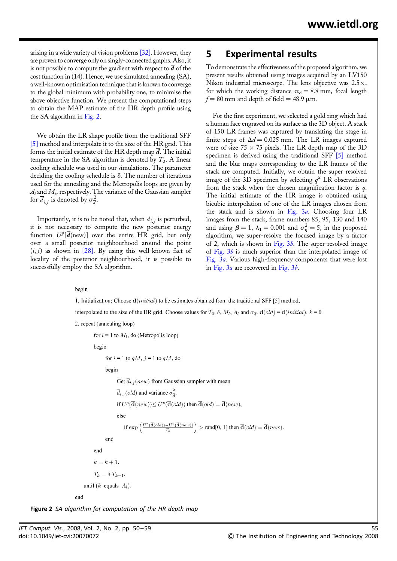arising in a wide variety of vision problems [32]. However, they are proven to converge only on singly-connected graphs. Also, it is not possible to compute the gradient with respect to  $\overline{d}$  of the cost function in (14). Hence, we use simulated annealing (SA), a well-known optimisation technique that is known to converge to the global minimum with probability one, to minimise the above objective function. We present the computational steps to obtain the MAP estimate of the HR depth profile using the SA algorithm in Fig. 2.

We obtain the LR shape profile from the traditional SFF [5] method and interpolate it to the size of the HR grid. This forms the initial estimate of the HR depth map  $\overline{d}$ . The initial temperature in the SA algorithm is denoted by  $T_0$ . A linear cooling schedule was used in our simulations. The parameter deciding the cooling schedule is  $\delta$ . The number of iterations used for the annealing and the Metropolis loops are given by  $A_l$  and  $M_l$ , respectively. The variance of the Gaussian sampler for  $\overline{d}_{i,j}$  is denoted by  $\sigma_{\overline{d}}^2$ .

Importantly, it is to be noted that, when  $d_{i,j}$  is perturbed, it is not necessary to compute the new posterior energy function  $U^p[\overline{\boldsymbol{d}}(\text{new})]$  over the entire HR grid, but only over a small posterior neighbourhood around the point  $(i, j)$  as shown in [28]. By using this well-known fact of locality of the posterior neighbourhood, it is possible to successfully employ the SA algorithm.

### 5 Experimental results

To demonstrate the effectiveness of the proposed algorithm, we present results obtained using images acquired by an LV150 Nikon industrial microscope. The lens objective was  $2.5 \times$ , for which the working distance  $w_d = 8.8$  mm, focal length  $f = 80$  mm and depth of field = 48.9 µm.

For the first experiment, we selected a gold ring which had a human face engraved on its surface as the 3D object. A stack of 150 LR frames was captured by translating the stage in finite steps of  $\Delta d = 0.025$  mm. The LR images captured were of size  $75 \times 75$  pixels. The LR depth map of the 3D specimen is derived using the traditional SFF [5] method and the blur maps corresponding to the LR frames of the stack are computed. Initially, we obtain the super resolved image of the  $3D$  specimen by selecting  $q^2$  LR observations from the stack when the chosen magnification factor is q. The initial estimate of the HR image is obtained using bicubic interpolation of one of the LR images chosen from the stack and is shown in Fig. 3a. Choosing four LR images from the stack, frame numbers 85, 95, 130 and 140 and using  $\beta = 1$ ,  $\lambda_1 = 0.001$  and  $\sigma_{\eta}^2 = 5$ , in the proposed algorithm, we super-resolve the focused image by a factor of 2, which is shown in Fig.  $3b$ . The super-resolved image of Fig.  $3b$  is much superior than the interpolated image of Fig. 3a. Various high-frequency components that were lost in Fig. 3a are recovered in Fig. 3b.

begin

1. Initialization: Choose  $\overline{d}(initial)$  to be estimates obtained from the traditional SFF [5] method,

interpolated to the size of the HR grid. Choose values for  $T_0$ ,  $\delta$ ,  $M_l$ ,  $A_l$  and  $\sigma_{\overline{d}}$ ,  $\overline{\mathbf{d}}(old) = \overline{\mathbf{d}}(initial)$ .  $k = 0$ .

2. repeat (annealing loop)

for  $l = 1$  to  $M_l$ , do (Metropolis loop)

begin

for  $i = 1$  to  $qM$ ,  $j = 1$  to  $qM$ , do

begin

Get  $\overline{d}_{i,j}(new)$  from Gaussian sampler with mean

```
\overline{d}_{i,j}(old) and variance \sigma_{\overline{d}}^2.
```
if  $U^p(\overline{\mathbf{d}}(new)) \leq U^p(\overline{\mathbf{d}}(old))$  then  $\overline{\mathbf{d}}(old) = \overline{\mathbf{d}}(new)$ ,

else

if  $\exp\left(\frac{U^p(\overline{\mathbf{d}}(old)) - U^p(\overline{\mathbf{d}}(new))}{T_k}\right) > \text{rand}[0, 1]$  then  $\overline{\mathbf{d}}(old) = \overline{\mathbf{d}}(new)$ .

end

end

 $k = k + 1.$  $T_k = \delta T_{k-1}.$ 

until  $(k$  equals  $A_l$ ).

end

Figure 2 SA algorithm for computation of the HR depth map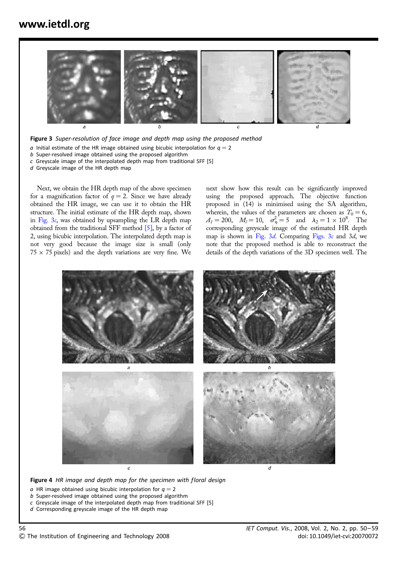### www.ietdl.org



Figure 3 Super-resolution of face image and depth map using the proposed method

- a Initial estimate of the HR image obtained using bicubic interpolation for  $q = 2$
- b Super-resolved image obtained using the proposed algorithm
- c Greyscale image of the interpolated depth map from traditional SFF [5]
- d Greyscale image of the HR depth map

Next, we obtain the HR depth map of the above specimen for a magnification factor of  $q = 2$ . Since we have already obtained the HR image, we can use it to obtain the HR structure. The initial estimate of the HR depth map, shown in Fig.  $3c$ , was obtained by upsampling the LR depth map obtained from the traditional SFF method [5], by a factor of 2, using bicubic interpolation. The interpolated depth map is not very good because the image size is small (only  $75 \times 75$  pixels) and the depth variations are very fine. We

next show how this result can be significantly improved using the proposed approach. The objective function proposed in (14) is minimised using the SA algorithm, wherein, the values of the parameters are chosen as  $T_0 = 6$ ,  $A_1 = 200$ ,  $M_1 = 10$ ,  $\sigma_{\eta}^2 = 5$  and  $\lambda_2 = 1 \times 10^8$ . The corresponding greyscale image of the estimated HR depth map is shown in Fig.  $3d$ . Comparing Figs.  $3c$  and  $3d$ , we note that the proposed method is able to reconstruct the details of the depth variations of the 3D specimen well. The



Figure 4 HR image and depth map for the specimen with floral design

- a HR image obtained using bicubic interpolation for  $q = 2$
- b Super-resolved image obtained using the proposed algorithm
- c Greyscale image of the interpolated depth map from traditional SFF [5]
- d Corresponding greyscale image of the HR depth map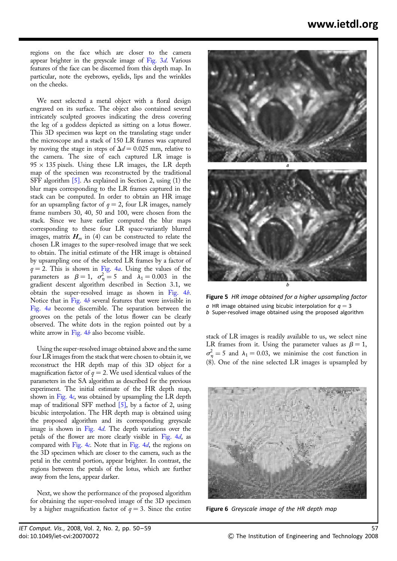regions on the face which are closer to the camera appear brighter in the greyscale image of Fig.  $3d$ . Various features of the face can be discerned from this depth map. In particular, note the eyebrows, eyelids, lips and the wrinkles on the cheeks.

We next selected a metal object with a floral design engraved on its surface. The object also contained several intricately sculpted grooves indicating the dress covering the leg of a goddess depicted as sitting on a lotus flower. This 3D specimen was kept on the translating stage under the microscope and a stack of 150 LR frames was captured by moving the stage in steps of  $\Delta d = 0.025$  mm, relative to the camera. The size of each captured LR image is  $95 \times 135$  pixels. Using these LR images, the LR depth map of the specimen was reconstructed by the traditional SFF algorithm [5]. As explained in Section 2, using (1) the blur maps corresponding to the LR frames captured in the stack can be computed. In order to obtain an HR image for an upsampling factor of  $q = 2$ , four LR images, namely frame numbers 30, 40, 50 and 100, were chosen from the stack. Since we have earlier computed the blur maps corresponding to these four LR space-variantly blurred images, matrix  $H_m$  in (4) can be constructed to relate the chosen LR images to the super-resolved image that we seek to obtain. The initial estimate of the HR image is obtained by upsampling one of the selected LR frames by a factor of  $q = 2$ . This is shown in Fig. 4a. Using the values of the parameters as  $\beta = 1$ ,  $\sigma_{\eta}^2 = 5$  and  $\lambda_1 = 0.003$  in the gradient descent algorithm described in Section 3.1, we obtain the super-resolved image as shown in Fig. 4b. Notice that in Fig. 4b several features that were invisible in Fig. 4a become discernible. The separation between the grooves on the petals of the lotus flower can be clearly observed. The white dots in the region pointed out by a white arrow in Fig.  $4b$  also become visible.

Using the super-resolved image obtained above and the same four LR images from the stack that were chosen to obtain it, we reconstruct the HR depth map of this 3D object for a magnification factor of  $q = 2$ . We used identical values of the parameters in the SA algorithm as described for the previous experiment. The initial estimate of the HR depth map, shown in Fig.  $4c$ , was obtained by upsampling the LR depth map of traditional SFF method  $[5]$ , by a factor of 2, using bicubic interpolation. The HR depth map is obtained using the proposed algorithm and its corresponding greyscale image is shown in Fig. 4d. The depth variations over the petals of the flower are more clearly visible in Fig. 4d, as compared with Fig. 4c. Note that in Fig. 4d, the regions on the 3D specimen which are closer to the camera, such as the petal in the central portion, appear brighter. In contrast, the regions between the petals of the lotus, which are further away from the lens, appear darker.

Next, we show the performance of the proposed algorithm for obtaining the super-resolved image of the 3D specimen by a higher magnification factor of  $q = 3$ . Since the entire



Figure 5 HR image obtained for a higher upsampling factor a HR image obtained using bicubic interpolation for  $q = 3$ b Super-resolved image obtained using the proposed algorithm

stack of LR images is readily available to us, we select nine LR frames from it. Using the parameter values as  $\beta = 1$ ,  $\sigma_{\eta}^2 = 5$  and  $\lambda_1 = 0.03$ , we minimise the cost function in (8). One of the nine selected LR images is upsampled by



Figure 6 Greyscale image of the HR depth map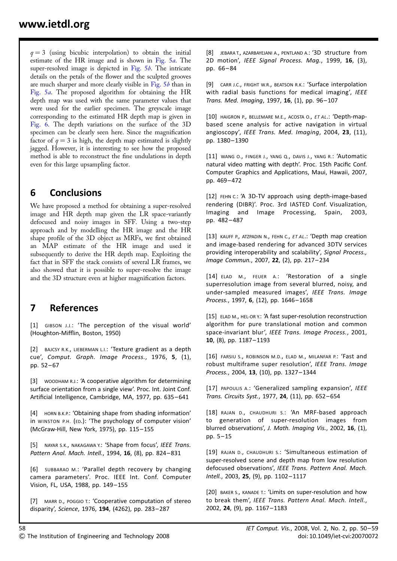$q = 3$  (using bicubic interpolation) to obtain the initial estimate of the HR image and is shown in Fig.  $5a$ . The super-resolved image is depicted in Fig.  $5b$ . The intricate details on the petals of the flower and the sculpted grooves are much sharper and more clearly visible in Fig.  $5b$  than in Fig. 5a. The proposed algorithm for obtaining the HR depth map was used with the same parameter values that were used for the earlier specimen. The greyscale image corresponding to the estimated HR depth map is given in Fig. 6. The depth variations on the surface of the 3D specimen can be clearly seen here. Since the magnification factor of  $q = 3$  is high, the depth map estimated is slightly jagged. However, it is interesting to see how the proposed method is able to reconstruct the fine undulations in depth even for this large upsampling factor.

### 6 Conclusions

We have proposed a method for obtaining a super-resolved image and HR depth map given the LR space-variantly defocused and noisy images in SFF. Using a two-step approach and by modelling the HR image and the HR shape profile of the 3D object as MRFs, we first obtained an MAP estimate of the HR image and used it subsequently to derive the HR depth map. Exploiting the fact that in SFF the stack consists of several LR frames, we also showed that it is possible to super-resolve the image and the 3D structure even at higher magnification factors.

### 7 References

[1] GIBSON J.J.: 'The perception of the visual world' (Houghton-Mifflin, Boston, 1950)

[2] BAJCSY R.K., LIEBERMAN L.I.: 'Texture gradient as a depth cue', Comput. Graph. Image Process., 1976, 5, (1), pp. 52-67

[3] WOODHAM R.J.: 'A cooperative algorithm for determining surface orientation from a single view'. Proc. Int. Joint Conf. Artificial Intelligence, Cambridge, MA, 1977, pp. 635– 641

[4] HORN B.K.P.: 'Obtaining shape from shading information' in WINSTON P.H. (ED.): 'The psychology of computer vision' (McGraw-Hill, New York, 1975), pp. 115– 155

[5] NAYAR S.K., NAKAGAWA Y.: 'Shape from focus', IEEE Trans. Pattern Anal. Mach. Intell., 1994, 16, (8), pp. 824– 831

[6] SUBBARAO M.: 'Parallel depth recovery by changing camera parameters'. Proc. IEEE Int. Conf. Computer Vision, FL, USA, 1988, pp. 149– 155

[7] MARR D., POGGIO T.: 'Cooperative computation of stereo disparity', Science, 1976, 194, (4262), pp. 283– 287

[8] JEBARA T., AZARBAYEJANI A., PENTLAND A.: '3D structure from 2D motion', IEEE Signal Process. Mag., 1999, 16, (3), pp. 66– 84

[9] CARR J.C., FRIGHT W.R., BEATSON R.K.: 'Surface interpolation with radial basis functions for medical imaging', IEEE Trans. Med. Imaging, 1997, 16, (1), pp. 96-107

[10] HAIGRON P., BELLEMARE M.E., ACOSTA O., ET AL.: 'Depth-mapbased scene analysis for active navigation in virtual angioscopy', IEEE Trans. Med. Imaging, 2004, 23, (11), pp. 1380– 1390

[11] WANG O., FINGER J., YANG Q., DAVIS J., YANG R.: 'Automatic natural video matting with depth'. Proc. 15th Pacific Conf. Computer Graphics and Applications, Maui, Hawaii, 2007, pp. 469– 472

[12] FEHN C.: 'A 3D-TV approach using depth-image-based rendering (DIBR)'. Proc. 3rd IASTED Conf. Visualization, Imaging and Image Processing, Spain, 2003, pp. 482– 487

[13] KAUFF P., ATZPADIN N., FEHN C., ET AL.: 'Depth map creation and image-based rendering for advanced 3DTV services providing interoperability and scalability', Signal Process., Image Commun., 2007, 22, (2), pp. 217– 234

[14] ELAD M., FEUER A.: 'Restoration of a single superresolution image from several blurred, noisy, and under-sampled measured images', IEEE Trans. Image Process., 1997, 6, (12), pp. 1646-1658

[15] ELAD M., HEL-OR Y.: 'A fast super-resolution reconstruction algorithm for pure translational motion and common space-invariant blur', IEEE Trans. Image Process., 2001, 10, (8), pp. 1187– 1193

[16] FARSIU S., ROBINSON M.D., ELAD M., MILANFAR P.: 'Fast and robust multiframe super resolution', IEEE Trans. Image Process., 2004, 13, (10), pp. 1327-1344

[17] PAPOULIS A.: 'Generalized sampling expansion', IEEE Trans. Circuits Syst., 1977, 24, (11), pp. 652-654

[18] RAJAN D., CHAUDHURI S.: 'An MRF-based approach to generation of super-resolution images from blurred observations', J. Math. Imaging Vis., 2002, 16, (1), pp. 5– 15

[19] RAJAN D., CHAUDHURI S.: 'Simultaneous estimation of super-resolved scene and depth map from low resolution defocused observations', IEEE Trans. Pattern Anal. Mach. Intell., 2003, 25, (9), pp. 1102-1117

[20] BAKER S., KANADE T.: 'Limits on super-resolution and how to break them', IEEE Trans. Pattern Anal. Mach. Intell., 2002, 24, (9), pp. 1167– 1183